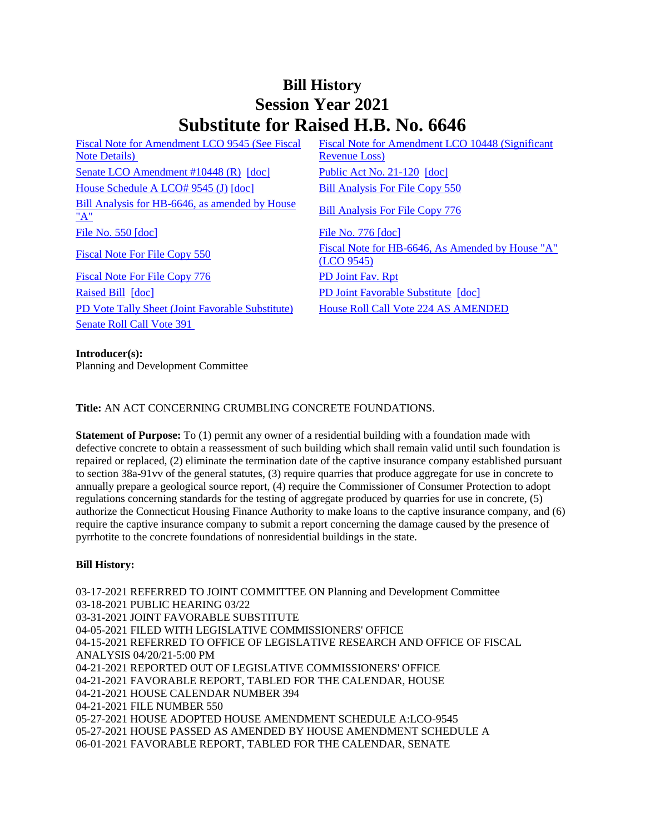## **Bill History Session Year 2021 Substitute for Raised H.B. No. 6646**

[Fiscal Note for Amendment LCO 9545 \(See Fiscal](/2021/fna/pdf/2021HB-06646-R00LCO09545-FNA.PDF)  [Note Details\)](/2021/fna/pdf/2021HB-06646-R00LCO09545-FNA.PDF)  [Senate LCO Amendment #10448 \(R\)](/2021/lcoamd/pdf/2021LCO10448-R00-AMD.pdf) [\[doc\]](https://search.cga.state.ct.us/dl2021/PA/DOC/2021PA-00120-R00HB-06646-PA.DOCX) [Public Act No. 21-120](/2021/ACT/PA/PDF/2021PA-00120-R00HB-06646-PA.PDF) [doc] [House Schedule A LCO# 9545 \(J\)](/2021/amd/H/pdf/2021HB-06646-R00HA-AMD.pdf) [\[doc\]](https://search.cga.state.ct.us/dl2021/AMd/DOC/2021HB-06646-R00HA-AMD.Docx) [Bill Analysis For File Copy 550](/2021/BA/PDF/2021HB-06646-R000550-BA.PDF) [Bill Analysis for HB-6646, as amended by House](/2021/BA/PDF/2021HB-06646-R01-BA.PDF)  <u>Bill Analysis for HB-0040, as amended by House</u><br>["A"](/2021/BA/PDF/2021HB-06646-R01-BA.PDF) [File No. 550](/2021/FC/PDF/2021HB-06646-R000550-FC.PDF) [\[doc\]](/2021/FC/PDF/2021HB-06646-R000776-FC.PDF) [File No. 776](/2021/FC/PDF/2021HB-06646-R000776-FC.PDF) [doc] [Fiscal Note For File Copy 776](/2021/FN/PDF/2021HB-06646-R010776-FN.PDF) [PD Joint Fav. Rpt](/2021/JFR/H/PDF/2021HB-06646-R00PD-JFR.PDF) [Raised Bill](/2021/TOB/H/PDF/2021HB-06646-R00-HB.PDF) [\[doc\]](https://search.cga.state.ct.us/dl2021/TOB/DOC/2021HB-06646-R00-HB.DOCX) [PD Joint Favorable Substitute](/2021/TOB/H/PDF/2021HB-06646-R01-HB.PDF) [\[doc\]](https://search.cga.state.ct.us/dl2021/TOB/DOC/2021HB-06646-R01-HB.DOCX) [PD Vote Tally Sheet \(Joint Favorable Substitute\)](/2021/TS/H/PDF/2021HB-06646-R00PD-CV119-TS.PDF) [House Roll Call Vote 224 AS AMENDED](/2021/VOTE/H/PDF/2021HV-00224-R00HB06646-HV.PDF) [Senate Roll Call Vote 391](/2021/VOTE/S/PDF/2021SV-00391-R00HB06646-SV.PDF) 

[Fiscal Note for Amendment LCO 10448 \(Significant](/2021/fna/pdf/2021HB-06646-R00LCO10448-FNA.PDF)  [Revenue Loss\)](/2021/fna/pdf/2021HB-06646-R00LCO10448-FNA.PDF) 

[Fiscal Note For File Copy 550](/2021/FN/PDF/2021HB-06646-R000550-FN.PDF) Fiscal Note for HB-6646, As Amended by House "A" [\(LCO 9545\)](/2021/FN/PDF/2021HB-06646-R01-FN.PDF)

## **Introducer(s):**

Planning and Development Committee

**Title:** AN ACT CONCERNING CRUMBLING CONCRETE FOUNDATIONS.

**Statement of Purpose:** To (1) permit any owner of a residential building with a foundation made with defective concrete to obtain a reassessment of such building which shall remain valid until such foundation is repaired or replaced, (2) eliminate the termination date of the captive insurance company established pursuant to section 38a-91vv of the general statutes, (3) require quarries that produce aggregate for use in concrete to annually prepare a geological source report, (4) require the Commissioner of Consumer Protection to adopt regulations concerning standards for the testing of aggregate produced by quarries for use in concrete, (5) authorize the Connecticut Housing Finance Authority to make loans to the captive insurance company, and (6) require the captive insurance company to submit a report concerning the damage caused by the presence of pyrrhotite to the concrete foundations of nonresidential buildings in the state.

## **Bill History:**

03-17-2021 REFERRED TO JOINT COMMITTEE ON Planning and Development Committee 03-18-2021 PUBLIC HEARING 03/22 03-31-2021 JOINT FAVORABLE SUBSTITUTE 04-05-2021 FILED WITH LEGISLATIVE COMMISSIONERS' OFFICE 04-15-2021 REFERRED TO OFFICE OF LEGISLATIVE RESEARCH AND OFFICE OF FISCAL ANALYSIS 04/20/21-5:00 PM 04-21-2021 REPORTED OUT OF LEGISLATIVE COMMISSIONERS' OFFICE 04-21-2021 FAVORABLE REPORT, TABLED FOR THE CALENDAR, HOUSE 04-21-2021 HOUSE CALENDAR NUMBER 394 04-21-2021 FILE NUMBER 550 05-27-2021 HOUSE ADOPTED HOUSE AMENDMENT SCHEDULE A:LCO-9545 05-27-2021 HOUSE PASSED AS AMENDED BY HOUSE AMENDMENT SCHEDULE A 06-01-2021 FAVORABLE REPORT, TABLED FOR THE CALENDAR, SENATE